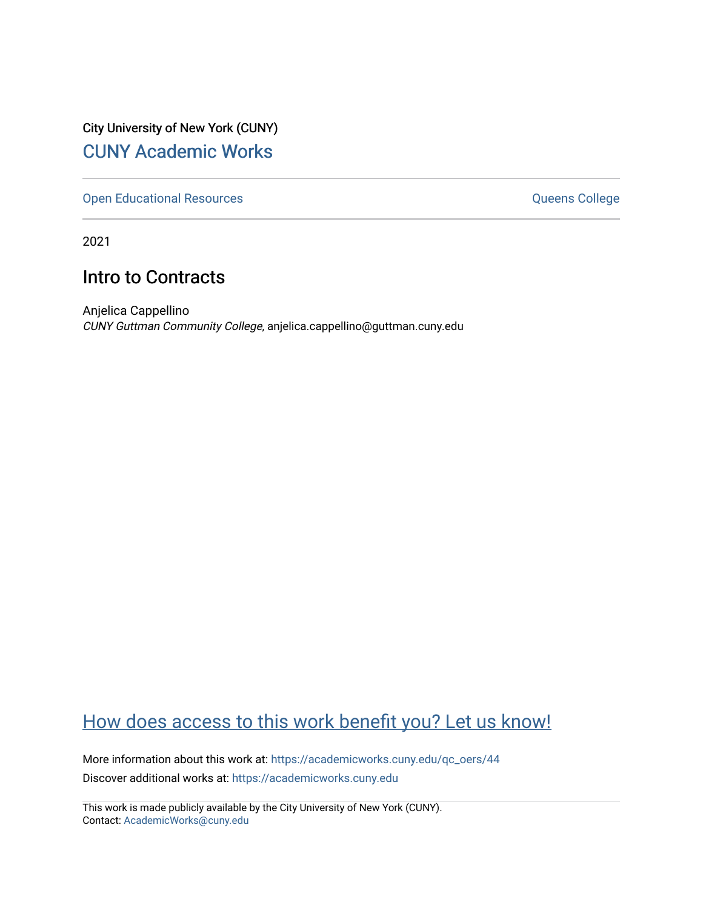City University of New York (CUNY) [CUNY Academic Works](https://academicworks.cuny.edu/) 

[Open Educational Resources](https://academicworks.cuny.edu/qc_oers) **College** Queens College

2021

### Intro to Contracts

Anjelica Cappellino CUNY Guttman Community College, anjelica.cappellino@guttman.cuny.edu

### [How does access to this work benefit you? Let us know!](http://ols.cuny.edu/academicworks/?ref=https://academicworks.cuny.edu/qc_oers/44)

More information about this work at: [https://academicworks.cuny.edu/qc\\_oers/44](https://academicworks.cuny.edu/qc_oers/44) Discover additional works at: [https://academicworks.cuny.edu](https://academicworks.cuny.edu/?)

This work is made publicly available by the City University of New York (CUNY). Contact: [AcademicWorks@cuny.edu](mailto:AcademicWorks@cuny.edu)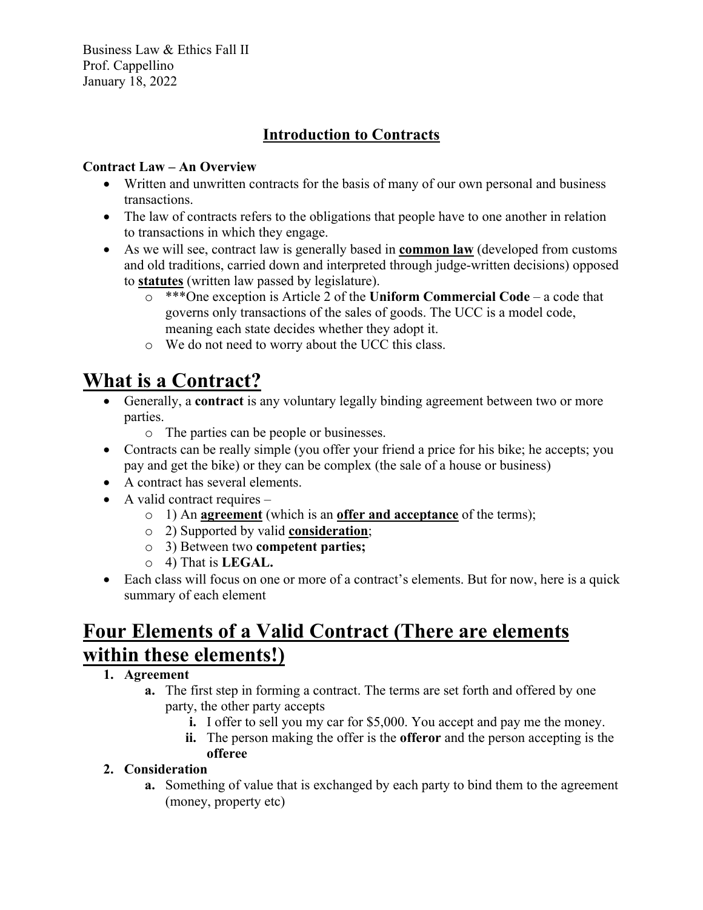Business Law & Ethics Fall II Prof. Cappellino January 18, 2022

### **Introduction to Contracts**

#### **Contract Law – An Overview**

- Written and unwritten contracts for the basis of many of our own personal and business transactions.
- The law of contracts refers to the obligations that people have to one another in relation to transactions in which they engage.
- As we will see, contract law is generally based in **common law** (developed from customs and old traditions, carried down and interpreted through judge-written decisions) opposed to **statutes** (written law passed by legislature).
	- o \*\*\*One exception is Article 2 of the **Uniform Commercial Code**  a code that governs only transactions of the sales of goods. The UCC is a model code, meaning each state decides whether they adopt it.
	- o We do not need to worry about the UCC this class.

# **What is a Contract?**

- Generally, a **contract** is any voluntary legally binding agreement between two or more parties.
	- o The parties can be people or businesses.
- Contracts can be really simple (you offer your friend a price for his bike; he accepts; you pay and get the bike) or they can be complex (the sale of a house or business)
- A contract has several elements.
- A valid contract requires
	- o 1) An **agreement** (which is an **offer and acceptance** of the terms);
	- o 2) Supported by valid **consideration**;
	- o 3) Between two **competent parties;**
	- o 4) That is **LEGAL.**
- Each class will focus on one or more of a contract's elements. But for now, here is a quick summary of each element

## **Four Elements of a Valid Contract (There are elements within these elements!)**

#### **1. Agreement**

- **a.** The first step in forming a contract. The terms are set forth and offered by one party, the other party accepts
	- **i.** I offer to sell you my car for \$5,000. You accept and pay me the money.
	- **ii.** The person making the offer is the **offeror** and the person accepting is the **offeree**

#### **2. Consideration**

**a.** Something of value that is exchanged by each party to bind them to the agreement (money, property etc)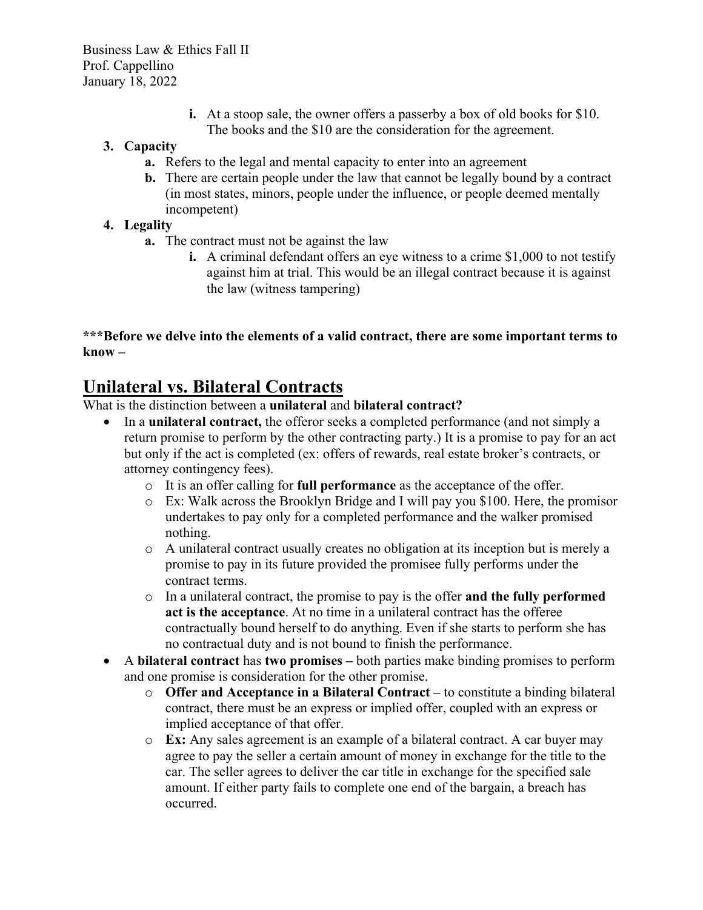**i.** At a stoop sale, the owner offers a passerby a box of old books for \$10. The books and the \$10 are the consideration for the agreement.

#### **3. Capacity**

- **a.** Refers to the legal and mental capacity to enter into an agreement
- **b.** There are certain people under the law that cannot be legally bound by a contract (in most states, minors, people under the influence, or people deemed mentally incompetent)

#### **4. Legality**

- **a.** The contract must not be against the law
	- **i.** A criminal defendant offers an eye witness to a crime \$1,000 to not testify against him at trial. This would be an illegal contract because it is against the law (witness tampering)

#### **\*\*\*Before we delve into the elements of a valid contract, there are some important terms to know –**

### **Unilateral vs. Bilateral Contracts**

What is the distinction between a **unilateral** and **bilateral contract?** 

- In a **unilateral contract,** the offeror seeks a completed performance (and not simply a return promise to perform by the other contracting party.) It is a promise to pay for an act but only if the act is completed (ex: offers of rewards, real estate broker's contracts, or attorney contingency fees).
	- o It is an offer calling for **full performance** as the acceptance of the offer.
	- o Ex: Walk across the Brooklyn Bridge and I will pay you \$100. Here, the promisor undertakes to pay only for a completed performance and the walker promised nothing.
	- o A unilateral contract usually creates no obligation at its inception but is merely a promise to pay in its future provided the promisee fully performs under the contract terms.
	- o In a unilateral contract, the promise to pay is the offer **and the fully performed act is the acceptance**. At no time in a unilateral contract has the offeree contractually bound herself to do anything. Even if she starts to perform she has no contractual duty and is not bound to finish the performance.
- A **bilateral contract** has **two promises –** both parties make binding promises to perform and one promise is consideration for the other promise.
	- o **Offer and Acceptance in a Bilateral Contract –** to constitute a binding bilateral contract, there must be an express or implied offer, coupled with an express or implied acceptance of that offer.
	- o **Ex:** Any sales agreement is an example of a bilateral contract. A car buyer may agree to pay the seller a certain amount of money in exchange for the title to the car. The seller agrees to deliver the car title in exchange for the specified sale amount. If either party fails to complete one end of the bargain, a breach has occurred.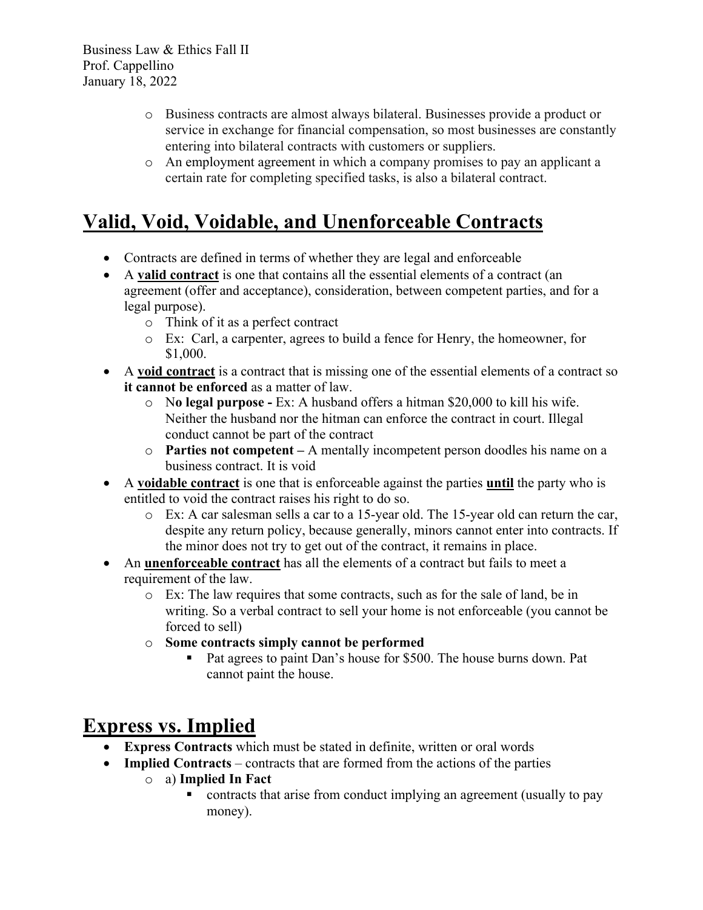- o Business contracts are almost always bilateral. Businesses provide a product or service in exchange for financial compensation, so most businesses are constantly entering into bilateral contracts with customers or suppliers.
- o An employment agreement in which a company promises to pay an applicant a certain rate for completing specified tasks, is also a bilateral contract.

## **Valid, Void, Voidable, and Unenforceable Contracts**

- Contracts are defined in terms of whether they are legal and enforceable
- A **valid contract** is one that contains all the essential elements of a contract (an agreement (offer and acceptance), consideration, between competent parties, and for a legal purpose).
	- o Think of it as a perfect contract
	- o Ex: Carl, a carpenter, agrees to build a fence for Henry, the homeowner, for \$1,000.
- A **void contract** is a contract that is missing one of the essential elements of a contract so **it cannot be enforced** as a matter of law.
	- o N**o legal purpose -** Ex: A husband offers a hitman \$20,000 to kill his wife. Neither the husband nor the hitman can enforce the contract in court. Illegal conduct cannot be part of the contract
	- o **Parties not competent –** A mentally incompetent person doodles his name on a business contract. It is void
- A **voidable contract** is one that is enforceable against the parties **until** the party who is entitled to void the contract raises his right to do so.
	- o Ex: A car salesman sells a car to a 15-year old. The 15-year old can return the car, despite any return policy, because generally, minors cannot enter into contracts. If the minor does not try to get out of the contract, it remains in place.
- An **unenforceable contract** has all the elements of a contract but fails to meet a requirement of the law.
	- o Ex: The law requires that some contracts, such as for the sale of land, be in writing. So a verbal contract to sell your home is not enforceable (you cannot be forced to sell)
	- o **Some contracts simply cannot be performed**
		- Pat agrees to paint Dan's house for \$500. The house burns down. Pat cannot paint the house.

# **Express vs. Implied**

- **Express Contracts** which must be stated in definite, written or oral words
- **Implied Contracts** contracts that are formed from the actions of the parties
	- o a) **Implied In Fact**
		- contracts that arise from conduct implying an agreement (usually to pay money).